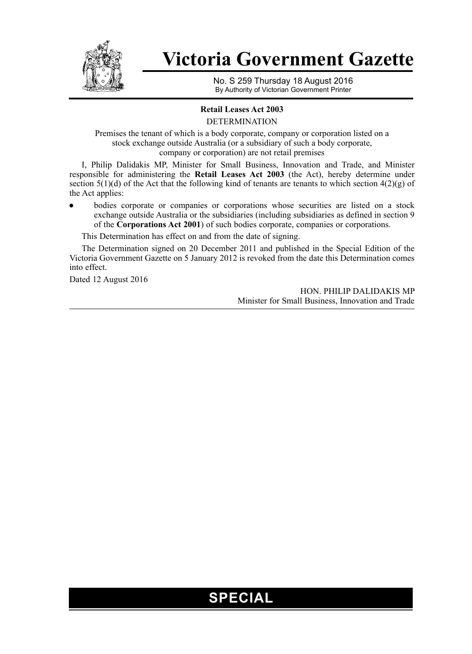

# **Victoria Government Gazette**

No. S 259 Thursday 18 August 2016 By Authority of Victorian Government Printer

### **Retail Leases Act 2003**

DETERMINATION

Premises the tenant of which is a body corporate, company or corporation listed on a stock exchange outside Australia (or a subsidiary of such a body corporate, company or corporation) are not retail premises

I, Philip Dalidakis MP, Minister for Small Business, Innovation and Trade, and Minister responsible for administering the **Retail Leases Act 2003** (the Act), hereby determine under section 5(1)(d) of the Act that the following kind of tenants are tenants to which section 4(2)(g) of the Act applies:

bodies corporate or companies or corporations whose securities are listed on a stock exchange outside Australia or the subsidiaries (including subsidiaries as defined in section 9 of the **Corporations Act 2001**) of such bodies corporate, companies or corporations.

This Determination has effect on and from the date of signing.

The Determination signed on 20 December 2011 and published in the Special Edition of the Victoria Government Gazette on 5 January 2012 is revoked from the date this Determination comes into effect.

Dated 12 August 2016

HON. PHILIP DALIDAKIS MP Minister for Small Business, Innovation and Trade

## **SPECIAL**